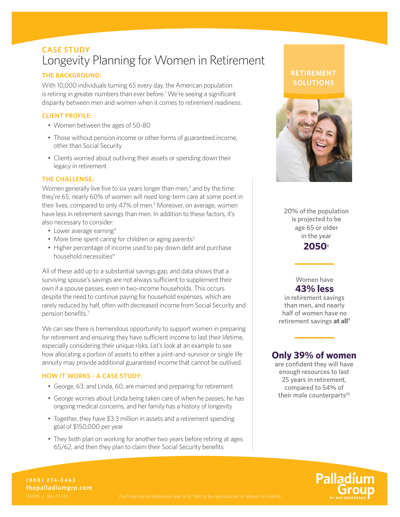# **CASE STUDY** Longevity Planning for Women in Retirement

### **THE BACKGROUND:**

With 10,000 individuals turning 65 every day, the American population is retiring in greater numbers than ever before.<sup>1</sup> We're seeing a significant disparity between men and women when it comes to retirement readiness.

### **CLIENT PROFILE:**

- Women between the ages of 50-80
- Those without pension income or other forms of guaranteed income, other than Social Security
- Clients worried about outliving their assets or spending down their legacy in retirement

### **THE CHALLENGE:**

Women generally live five to six years longer than men, $<sup>2</sup>$  and by the time</sup> they're 65, nearly 60% of women will need long-term care at some point in their lives, compared to only 47% of men.<sup>3</sup> Moreover, on average, women have less in retirement savings than men. In addition to these factors, it's also necessary to consider:

- Lower average earning<sup>4</sup>
- More time spent caring for children or aging parents<sup>5</sup>
- Higher percentage of income used to pay down debt and purchase household necessities<sup>6</sup>

All of these add up to a substantial savings gap, and data shows that a surviving spouse's savings are not always sufficient to supplement their own if a spouse passes, even in two-income households. This occurs despite the need to continue paying for household expenses, which are rarely reduced by half, often with decreased income from Social Security and pension benefits.7

We can see there is tremendous opportunity to support women in preparing for retirement and ensuring they have sufficient income to last their lifetime, especially considering their unique risks. Let's look at an example to see how allocating a portion of assets to either a joint-and-survivor or single life annuity may provide additional guaranteed income that cannot be outlived.

### **HOW IT WORKS - A CASE STUDY:**

- George, 63, and Linda, 60, are married and preparing for retirement
- George worries about Linda being taken care of when he passes; he has ongoing medical concerns, and her family has a history of longevity
- Together, they have \$3.3 million in assets and a retirement spending goal of \$150,000 per year
- They both plan on working for another two years before retiring at ages 65/62, and then they plan to claim their Social Security benefits

## **RETIREMENT SOLUTIONS**



20% of the population is projected to be age 65 or older in the year

**2050**<sup>8</sup>

Women have **43% less**

in retirement savings than men, and nearly half of women have no retirement savings **at all**<sup>9</sup>

# **Only 39% of women**

are confident they will have enough resources to last 25 years in retirement, compared to 54% of their male counterparts<sup>10</sup>

Palladíu

**(888) 274-5462 thepalladiumgrp.com**